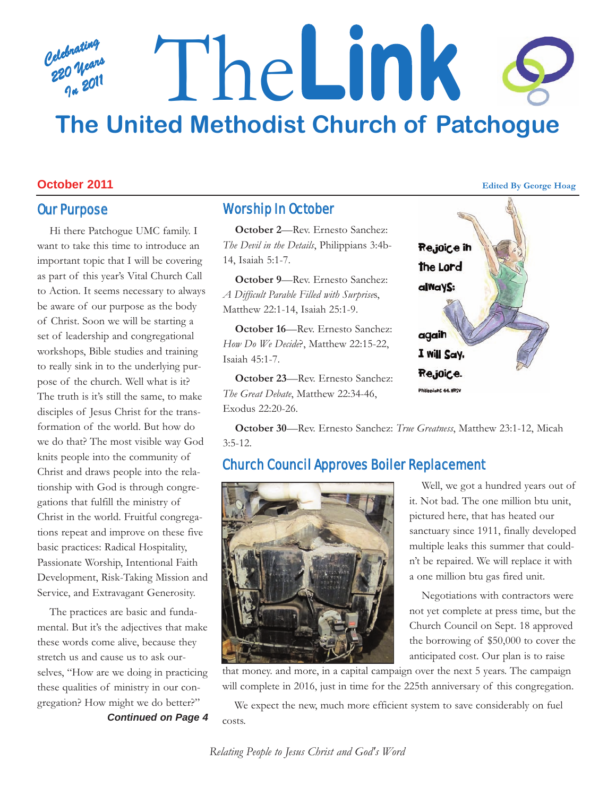# *Celebrating 220 Years In 2011* The**Link The United Methodist Church of Patchogue**

# **October 2011 Edited By George Hoag**

# Our Purpose

Hi there Patchogue UMC family. I want to take this time to introduce an important topic that I will be covering as part of this year's Vital Church Call to Action. It seems necessary to always be aware of our purpose as the body of Christ. Soon we will be starting a set of leadership and congregational workshops, Bible studies and training to really sink in to the underlying purpose of the church. Well what is it? The truth is it's still the same, to make disciples of Jesus Christ for the transformation of the world. But how do we do that? The most visible way God knits people into the community of Christ and draws people into the relationship with God is through congregations that fulfill the ministry of Christ in the world. Fruitful congregations repeat and improve on these five basic practices: Radical Hospitality, Passionate Worship, Intentional Faith Development, Risk-Taking Mission and Service, and Extravagant Generosity.

The practices are basic and fundamental. But it's the adjectives that make these words come alive, because they stretch us and cause us to ask ourselves, "How are we doing in practicing these qualities of ministry in our congregation? How might we do better?"

*Continued on Page 4*

# Worship In October

**October 2**—Rev. Ernesto Sanchez: *The Devil in the Details*, Philippians 3:4b-14, Isaiah 5:1-7.

**October 9**—Rev. Ernesto Sanchez: *A Difficult Parable Filled with Surprise*s, Matthew 22:1-14, Isaiah 25:1-9.

**October 16**—Rev. Ernesto Sanchez: *How Do We Decide*?, Matthew 22:15-22, Isaiah 45:1-7.

**October 23**—Rev. Ernesto Sanchez: *The Great Debate*, Matthew 22:34-46, Exodus 22:20-26.

Rejoice in the Lord alWayS: agaih I will Say. Rejoice. Philippians 44. NRSV

**October 30**—Rev. Ernesto Sanchez: *True Greatness*, Matthew 23:1-12, Micah 3:5-12.

# Church Council Approves Boiler Replacement



Well, we got a hundred years out of it. Not bad. The one million btu unit, pictured here, that has heated our sanctuary since 1911, finally developed multiple leaks this summer that couldn't be repaired. We will replace it with a one million btu gas fired unit.

Negotiations with contractors were not yet complete at press time, but the Church Council on Sept. 18 approved the borrowing of \$50,000 to cover the anticipated cost. Our plan is to raise

that money. and more, in a capital campaign over the next 5 years. The campaign will complete in 2016, just in time for the 225th anniversary of this congregation.

We expect the new, much more efficient system to save considerably on fuel costs.

*Relating People to Jesus Christ and God's Word*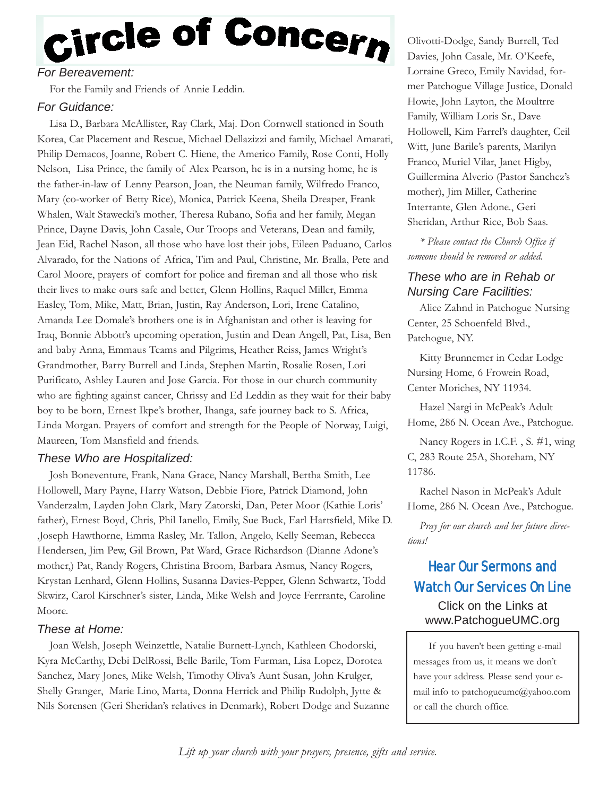# Circle of Concern

# *For Bereavement:*

For the Family and Friends of Annie Leddin.

# *For Guidance:*

Lisa D., Barbara McAllister, Ray Clark, Maj. Don Cornwell stationed in South Korea, Cat Placement and Rescue, Michael Dellazizzi and family, Michael Amarati, Philip Demacos, Joanne, Robert C. Hiene, the Americo Family, Rose Conti, Holly Nelson, Lisa Prince, the family of Alex Pearson, he is in a nursing home, he is the father-in-law of Lenny Pearson, Joan, the Neuman family, Wilfredo Franco, Mary (co-worker of Betty Rice), Monica, Patrick Keena, Sheila Dreaper, Frank Whalen, Walt Stawecki's mother, Theresa Rubano, Sofia and her family, Megan Prince, Dayne Davis, John Casale, Our Troops and Veterans, Dean and family, Jean Eid, Rachel Nason, all those who have lost their jobs, Eileen Paduano, Carlos Alvarado, for the Nations of Africa, Tim and Paul, Christine, Mr. Bralla, Pete and Carol Moore, prayers of comfort for police and fireman and all those who risk their lives to make ours safe and better, Glenn Hollins, Raquel Miller, Emma Easley, Tom, Mike, Matt, Brian, Justin, Ray Anderson, Lori, Irene Catalino, Amanda Lee Domale's brothers one is in Afghanistan and other is leaving for Iraq, Bonnie Abbott's upcoming operation, Justin and Dean Angell, Pat, Lisa, Ben and baby Anna, Emmaus Teams and Pilgrims, Heather Reiss, James Wright's Grandmother, Barry Burrell and Linda, Stephen Martin, Rosalie Rosen, Lori Purificato, Ashley Lauren and Jose Garcia. For those in our church community who are fighting against cancer, Chrissy and Ed Leddin as they wait for their baby boy to be born, Ernest Ikpe's brother, Ihanga, safe journey back to S. Africa, Linda Morgan. Prayers of comfort and strength for the People of Norway, Luigi, Maureen, Tom Mansfield and friends.

# *These Who are Hospitalized:*

Josh Boneventure, Frank, Nana Grace, Nancy Marshall, Bertha Smith, Lee Hollowell, Mary Payne, Harry Watson, Debbie Fiore, Patrick Diamond, John Vanderzalm, Layden John Clark, Mary Zatorski, Dan, Peter Moor (Kathie Loris' father), Ernest Boyd, Chris, Phil Ianello, Emily, Sue Buck, Earl Hartsfield, Mike D. ,Joseph Hawthorne, Emma Rasley, Mr. Tallon, Angelo, Kelly Seeman, Rebecca Hendersen, Jim Pew, Gil Brown, Pat Ward, Grace Richardson (Dianne Adone's mother,) Pat, Randy Rogers, Christina Broom, Barbara Asmus, Nancy Rogers, Krystan Lenhard, Glenn Hollins, Susanna Davies-Pepper, Glenn Schwartz, Todd Skwirz, Carol Kirschner's sister, Linda, Mike Welsh and Joyce Ferrrante, Caroline Moore.

# *These at Home:*

Joan Welsh, Joseph Weinzettle, Natalie Burnett-Lynch, Kathleen Chodorski, Kyra McCarthy, Debi DelRossi, Belle Barile, Tom Furman, Lisa Lopez, Dorotea Sanchez, Mary Jones, Mike Welsh, Timothy Oliva's Aunt Susan, John Krulger, Shelly Granger, Marie Lino, Marta, Donna Herrick and Philip Rudolph, Jytte & Nils Sorensen (Geri Sheridan's relatives in Denmark), Robert Dodge and Suzanne

Olivotti-Dodge, Sandy Burrell, Ted Davies, John Casale, Mr. O'Keefe, Lorraine Greco, Emily Navidad, former Patchogue Village Justice, Donald Howie, John Layton, the Moultrre Family, William Loris Sr., Dave Hollowell, Kim Farrel's daughter, Ceil Witt, June Barile's parents, Marilyn Franco, Muriel Vilar, Janet Higby, Guillermina Alverio (Pastor Sanchez's mother), Jim Miller, Catherine Interrante, Glen Adone., Geri Sheridan, Arthur Rice, Bob Saas.

*\* Please contact the Church Office if someone should be removed or added.*

# *These who are in Rehab or Nursing Care Facilities:*

Alice Zahnd in Patchogue Nursing Center, 25 Schoenfeld Blvd., Patchogue, NY.

Kitty Brunnemer in Cedar Lodge Nursing Home, 6 Frowein Road, Center Moriches, NY 11934.

Hazel Nargi in McPeak's Adult Home, 286 N. Ocean Ave., Patchogue.

Nancy Rogers in I.C.F. , S. #1, wing C, 283 Route 25A, Shoreham, NY 11786.

Rachel Nason in McPeak's Adult Home, 286 N. Ocean Ave., Patchogue.

*Pray for our church and her future directions!*

# Hear Our Sermons and Watch Our Services On Line

Click on the Links at www.PatchogueUMC.org

If you haven't been getting e-mail messages from us, it means we don't have your address. Please send your email info to patchogueumc@yahoo.com or call the church office.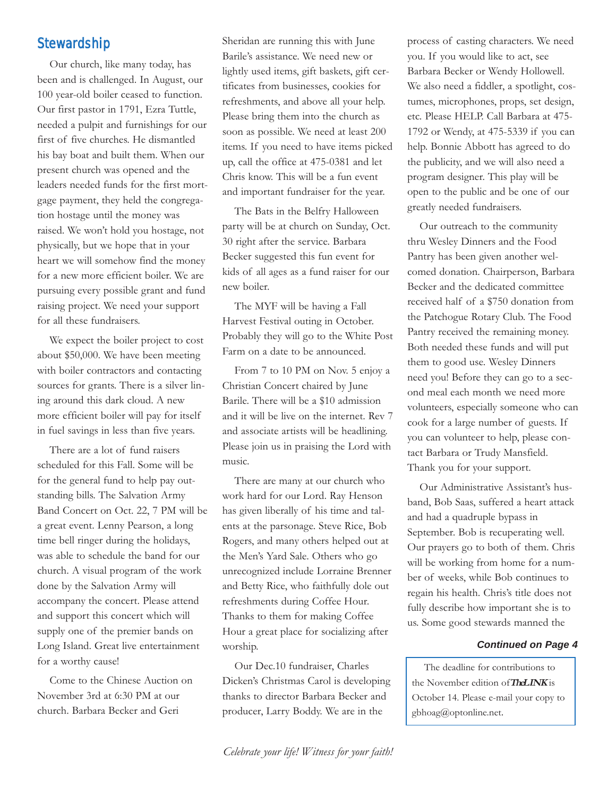# **Stewardship**

Our church, like many today, has been and is challenged. In August, our 100 year-old boiler ceased to function. Our first pastor in 1791, Ezra Tuttle, needed a pulpit and furnishings for our first of five churches. He dismantled his bay boat and built them. When our present church was opened and the leaders needed funds for the first mortgage payment, they held the congregation hostage until the money was raised. We won't hold you hostage, not physically, but we hope that in your heart we will somehow find the money for a new more efficient boiler. We are pursuing every possible grant and fund raising project. We need your support for all these fundraisers.

We expect the boiler project to cost about \$50,000. We have been meeting with boiler contractors and contacting sources for grants. There is a silver lining around this dark cloud. A new more efficient boiler will pay for itself in fuel savings in less than five years.

There are a lot of fund raisers scheduled for this Fall. Some will be for the general fund to help pay outstanding bills. The Salvation Army Band Concert on Oct. 22, 7 PM will be a great event. Lenny Pearson, a long time bell ringer during the holidays, was able to schedule the band for our church. A visual program of the work done by the Salvation Army will accompany the concert. Please attend and support this concert which will supply one of the premier bands on Long Island. Great live entertainment for a worthy cause!

Come to the Chinese Auction on November 3rd at 6:30 PM at our church. Barbara Becker and Geri

Sheridan are running this with June Barile's assistance. We need new or lightly used items, gift baskets, gift certificates from businesses, cookies for refreshments, and above all your help. Please bring them into the church as soon as possible. We need at least 200 items. If you need to have items picked up, call the office at 475-0381 and let Chris know. This will be a fun event and important fundraiser for the year.

The Bats in the Belfry Halloween party will be at church on Sunday, Oct. 30 right after the service. Barbara Becker suggested this fun event for kids of all ages as a fund raiser for our new boiler.

The MYF will be having a Fall Harvest Festival outing in October. Probably they will go to the White Post Farm on a date to be announced.

From 7 to 10 PM on Nov. 5 enjoy a Christian Concert chaired by June Barile. There will be a \$10 admission and it will be live on the internet. Rev 7 and associate artists will be headlining. Please join us in praising the Lord with music.

There are many at our church who work hard for our Lord. Ray Henson has given liberally of his time and talents at the parsonage. Steve Rice, Bob Rogers, and many others helped out at the Men's Yard Sale. Others who go unrecognized include Lorraine Brenner and Betty Rice, who faithfully dole out refreshments during Coffee Hour. Thanks to them for making Coffee Hour a great place for socializing after worship.

Our Dec.10 fundraiser, Charles Dicken's Christmas Carol is developing thanks to director Barbara Becker and producer, Larry Boddy. We are in the

process of casting characters. We need you. If you would like to act, see Barbara Becker or Wendy Hollowell. We also need a fiddler, a spotlight, costumes, microphones, props, set design, etc. Please HELP. Call Barbara at 475- 1792 or Wendy, at 475-5339 if you can help. Bonnie Abbott has agreed to do the publicity, and we will also need a program designer. This play will be open to the public and be one of our greatly needed fundraisers.

Our outreach to the community thru Wesley Dinners and the Food Pantry has been given another welcomed donation. Chairperson, Barbara Becker and the dedicated committee received half of a \$750 donation from the Patchogue Rotary Club. The Food Pantry received the remaining money. Both needed these funds and will put them to good use. Wesley Dinners need you! Before they can go to a second meal each month we need more volunteers, especially someone who can cook for a large number of guests. If you can volunteer to help, please contact Barbara or Trudy Mansfield. Thank you for your support.

Our Administrative Assistant's husband, Bob Saas, suffered a heart attack and had a quadruple bypass in September. Bob is recuperating well. Our prayers go to both of them. Chris will be working from home for a number of weeks, while Bob continues to regain his health. Chris's title does not fully describe how important she is to us. Some good stewards manned the

# *Continued on Page 4*

The deadline for contributions to the November edition of**TheLINK** is October 14. Please e-mail your copy to gbhoag@optonline.net.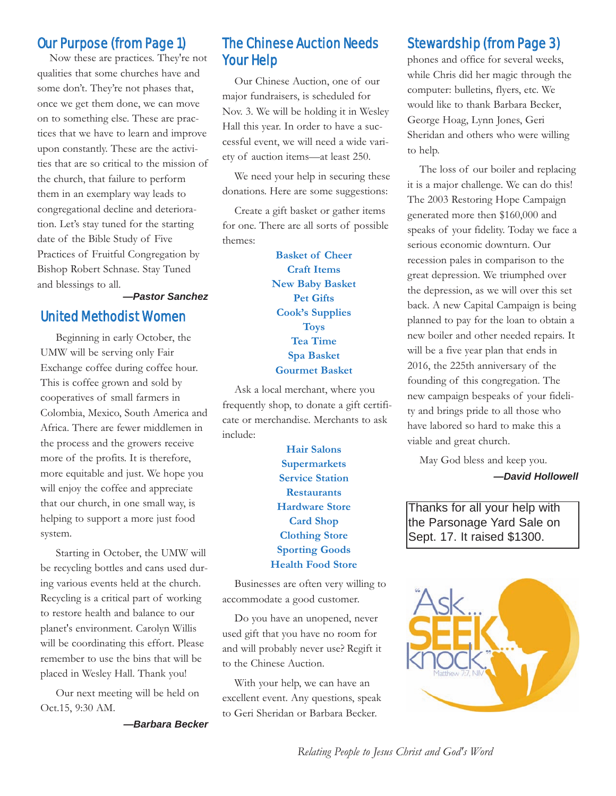Now these are practices. They're not qualities that some churches have and some don't. They're not phases that, once we get them done, we can move on to something else. These are practices that we have to learn and improve upon constantly. These are the activities that are so critical to the mission of the church, that failure to perform them in an exemplary way leads to congregational decline and deterioration. Let's stay tuned for the starting date of the Bible Study of Five Practices of Fruitful Congregation by Bishop Robert Schnase. Stay Tuned and blessings to all.

*—Pastor Sanchez*

# United Methodist Women

Beginning in early October, the UMW will be serving only Fair Exchange coffee during coffee hour. This is coffee grown and sold by cooperatives of small farmers in Colombia, Mexico, South America and Africa. There are fewer middlemen in the process and the growers receive more of the profits. It is therefore, more equitable and just. We hope you will enjoy the coffee and appreciate that our church, in one small way, is helping to support a more just food system.

Starting in October, the UMW will be recycling bottles and cans used during various events held at the church. Recycling is a critical part of working to restore health and balance to our planet's environment. Carolyn Willis will be coordinating this effort. Please remember to use the bins that will be placed in Wesley Hall. Thank you!

Our next meeting will be held on Oct.15, 9:30 AM.

*—Barbara Becker*

### Our Purpose (from Page 1) The Chinese Auction Needs Stewardship (from Page 3) The Chinese Auction Needs Your Help

Our Chinese Auction, one of our major fundraisers, is scheduled for Nov. 3. We will be holding it in Wesley Hall this year. In order to have a successful event, we will need a wide variety of auction items—at least 250.

We need your help in securing these donations. Here are some suggestions:

Create a gift basket or gather items for one. There are all sorts of possible themes:

> **Basket of Cheer Craft Items New Baby Basket Pet Gifts Cook's Supplies Toys Tea Time Spa Basket Gourmet Basket**

Ask a local merchant, where you frequently shop, to donate a gift certificate or merchandise. Merchants to ask include:

> **Hair Salons Supermarkets Service Station Restaurants Hardware Store Card Shop Clothing Store Sporting Goods Health Food Store**

Businesses are often very willing to accommodate a good customer.

Do you have an unopened, never used gift that you have no room for and will probably never use? Regift it to the Chinese Auction.

With your help, we can have an excellent event. Any questions, speak to Geri Sheridan or Barbara Becker.

phones and office for several weeks, while Chris did her magic through the computer: bulletins, flyers, etc. We would like to thank Barbara Becker, George Hoag, Lynn Jones, Geri Sheridan and others who were willing to help.

The loss of our boiler and replacing it is a major challenge. We can do this! The 2003 Restoring Hope Campaign generated more then \$160,000 and speaks of your fidelity. Today we face a serious economic downturn. Our recession pales in comparison to the great depression. We triumphed over the depression, as we will over this set back. A new Capital Campaign is being planned to pay for the loan to obtain a new boiler and other needed repairs. It will be a five year plan that ends in 2016, the 225th anniversary of the founding of this congregation. The new campaign bespeaks of your fidelity and brings pride to all those who have labored so hard to make this a viable and great church.

May God bless and keep you.

# *—David Hollowell*

Thanks for all your help with the Parsonage Yard Sale on Sept. 17. It raised \$1300.

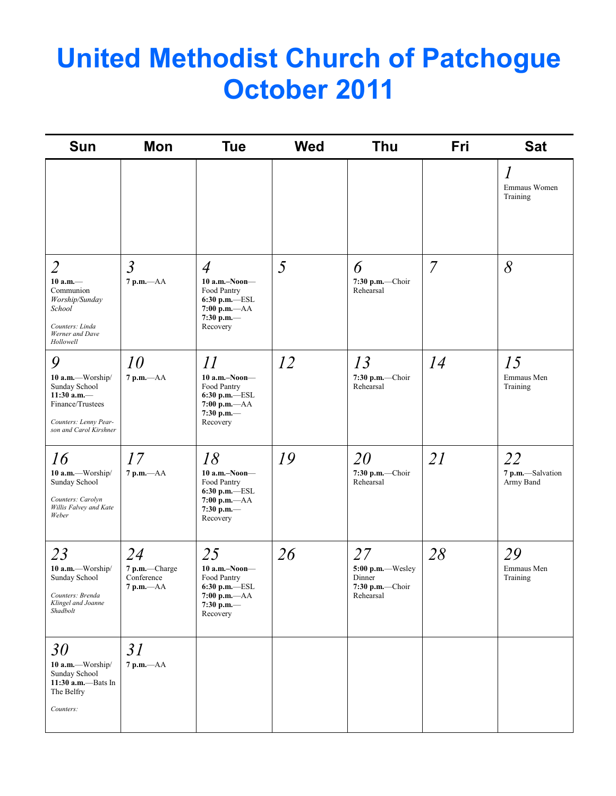# **United Methodist Church of Patchogue October 2011**

| <b>Sun</b>                                                                                                                     | Mon                                              | <b>Tue</b>                                                                                                        | <b>Wed</b> | Thu                                                              | Fri            | <b>Sat</b>                                 |
|--------------------------------------------------------------------------------------------------------------------------------|--------------------------------------------------|-------------------------------------------------------------------------------------------------------------------|------------|------------------------------------------------------------------|----------------|--------------------------------------------|
|                                                                                                                                |                                                  |                                                                                                                   |            |                                                                  |                | $\overline{l}$<br>Emmaus Women<br>Training |
| $\overline{2}$<br>$10 a.m.$ —<br>Communion<br>Worship/Sunday<br>School<br>Counters: Linda<br>Werner and Dave<br>Hollowell      | $\mathfrak{Z}$<br>$7 p.m. -AA$                   | $\overline{4}$<br>$10$ a.m.-Noon-<br>Food Pantry<br>6:30 p.m.-ESL<br>$7:00 p.m. -AA$<br>7:30 p.m. $-$<br>Recovery | 5          | 6<br>7:30 p.m.-Choir<br>Rehearsal                                | $\overline{7}$ | 8                                          |
| 9<br>10 a.m.-Worship/<br>Sunday School<br>$11:30$ a.m.-<br>Finance/Trustees<br>Counters: Lenny Pear-<br>son and Carol Kirshner | 10<br>$7 p.m. -AA$                               | 11<br>10 a.m.-Noon-<br>Food Pantry<br>6:30 p.m.-ESL<br>$7:00 p.m. -AA$<br>7:30 p.m.-<br>Recovery                  | 12         | 13<br>7:30 p.m.-Choir<br>Rehearsal                               | 14             | 15<br>Emmaus Men<br>Training               |
| 16<br>10 a.m.-Worship/<br>Sunday School<br>Counters: Carolyn<br>Willis Falvey and Kate<br>Weber                                | 17<br>$7 p.m. -AA$                               | 18<br>$10$ a.m.-Noon-<br>Food Pantry<br>6:30 p.m.-ESL<br>7:00 p.m.-AA<br>7:30 p.m.-<br>Recovery                   | 19         | 20<br>7:30 p.m.-Choir<br>Rehearsal                               | 21             | 22<br>7 p.m.-Salvation<br>Army Band        |
| 23<br>10 a.m.-Worship/<br>Sunday School<br>Counters: Brenda<br>Klingel and Joanne<br>Shadbolt                                  | 24<br>7 p.m.-Charge<br>Conference<br>7 p.m.-- AA | 25<br>$10$ a.m.-Noon-<br>Food Pantry<br>6:30 p.m.-ESL<br>$7:00 p.m. -AA$<br>7:30 p.m.-<br>Recovery                | 26         | 27<br>5:00 p.m.-Wesley<br>Dinner<br>7:30 p.m.-Choir<br>Rehearsal | 28             | 29<br>Emmaus Men<br>Training               |
| 30<br>10 a.m.-Worship/<br>Sunday School<br>11:30 a.m.-Bats In<br>The Belfry<br>Counters:                                       | 31<br>7 p.m.--- AA                               |                                                                                                                   |            |                                                                  |                |                                            |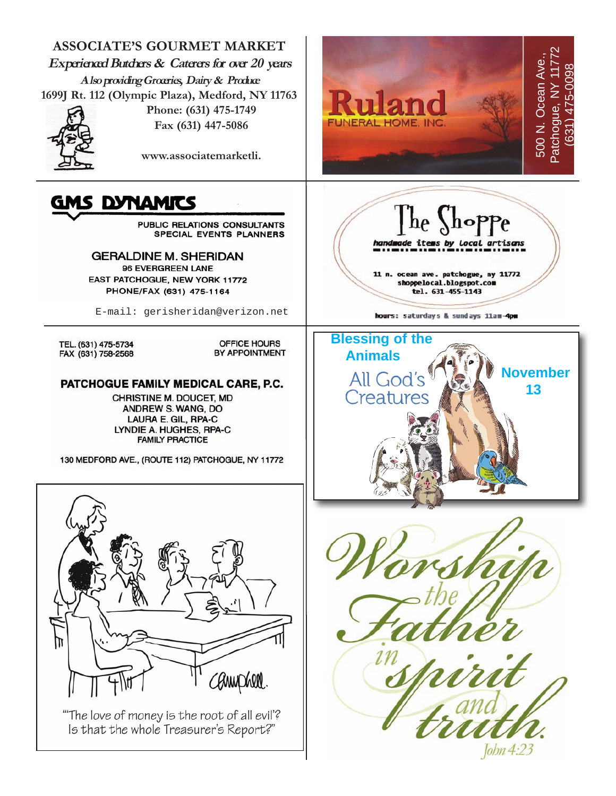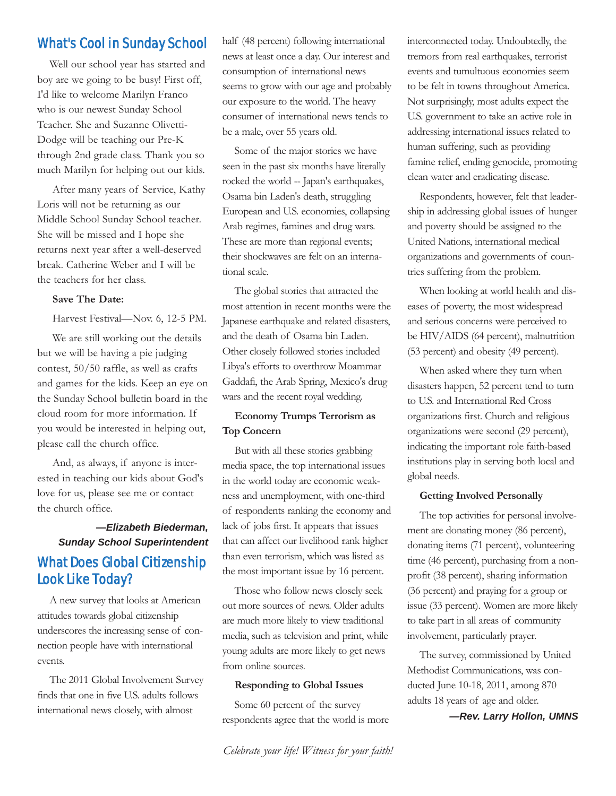# What's Cool in Sunday School

Well our school year has started and boy are we going to be busy! First off, I'd like to welcome Marilyn Franco who is our newest Sunday School Teacher. She and Suzanne Olivetti-Dodge will be teaching our Pre-K through 2nd grade class. Thank you so much Marilyn for helping out our kids.

After many years of Service, Kathy Loris will not be returning as our Middle School Sunday School teacher. She will be missed and I hope she returns next year after a well-deserved break. Catherine Weber and I will be the teachers for her class.

# **Save The Date:**

Harvest Festival—Nov. 6, 12-5 PM.

We are still working out the details but we will be having a pie judging contest, 50/50 raffle, as well as crafts and games for the kids. Keep an eye on the Sunday School bulletin board in the cloud room for more information. If you would be interested in helping out, please call the church office.

And, as always, if anyone is interested in teaching our kids about God's love for us, please see me or contact the church office.

# What Does Global Citizenship Look Like Today? *—Elizabeth Biederman, Sunday School Superintendent*

A new survey that looks at American attitudes towards global citizenship underscores the increasing sense of connection people have with international events.

The 2011 Global Involvement Survey finds that one in five U.S. adults follows international news closely, with almost

half (48 percent) following international news at least once a day. Our interest and consumption of international news seems to grow with our age and probably our exposure to the world. The heavy consumer of international news tends to be a male, over 55 years old.

Some of the major stories we have seen in the past six months have literally rocked the world -- Japan's earthquakes, Osama bin Laden's death, struggling European and U.S. economies, collapsing Arab regimes, famines and drug wars. These are more than regional events; their shockwaves are felt on an international scale.

The global stories that attracted the most attention in recent months were the Japanese earthquake and related disasters, and the death of Osama bin Laden. Other closely followed stories included Libya's efforts to overthrow Moammar Gaddafi, the Arab Spring, Mexico's drug wars and the recent royal wedding.

# **Economy Trumps Terrorism as Top Concern**

But with all these stories grabbing media space, the top international issues in the world today are economic weakness and unemployment, with one-third of respondents ranking the economy and lack of jobs first. It appears that issues that can affect our livelihood rank higher than even terrorism, which was listed as the most important issue by 16 percent.

Those who follow news closely seek out more sources of news. Older adults are much more likely to view traditional media, such as television and print, while young adults are more likely to get news from online sources.

# **Responding to Global Issues**

Some 60 percent of the survey respondents agree that the world is more interconnected today. Undoubtedly, the tremors from real earthquakes, terrorist events and tumultuous economies seem to be felt in towns throughout America. Not surprisingly, most adults expect the U.S. government to take an active role in addressing international issues related to human suffering, such as providing famine relief, ending genocide, promoting clean water and eradicating disease.

Respondents, however, felt that leadership in addressing global issues of hunger and poverty should be assigned to the United Nations, international medical organizations and governments of countries suffering from the problem.

When looking at world health and diseases of poverty, the most widespread and serious concerns were perceived to be HIV/AIDS (64 percent), malnutrition (53 percent) and obesity (49 percent).

When asked where they turn when disasters happen, 52 percent tend to turn to U.S. and International Red Cross organizations first. Church and religious organizations were second (29 percent), indicating the important role faith-based institutions play in serving both local and global needs.

# **Getting Involved Personally**

The top activities for personal involvement are donating money (86 percent), donating items (71 percent), volunteering time (46 percent), purchasing from a nonprofit (38 percent), sharing information (36 percent) and praying for a group or issue (33 percent). Women are more likely to take part in all areas of community involvement, particularly prayer.

The survey, commissioned by United Methodist Communications, was conducted June 10-18, 2011, among 870 adults 18 years of age and older.

*—Rev. Larry Hollon, UMNS*